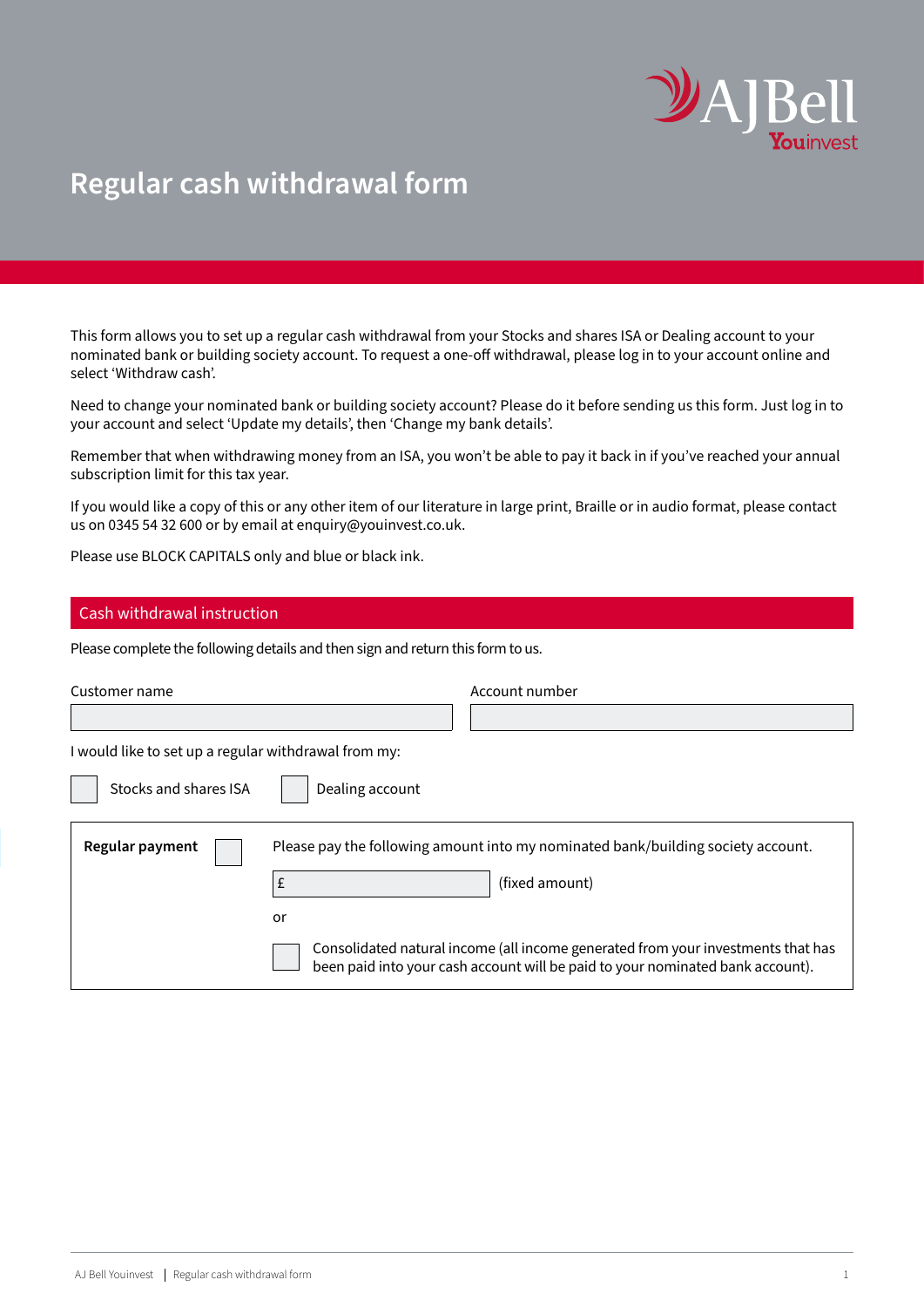

## **Regular cash withdrawal form**

This form allows you to set up a regular cash withdrawal from your Stocks and shares ISA or Dealing account to your nominated bank or building society account. To request a one-off withdrawal, please log in to your account online and select 'Withdraw cash'.

Need to change your nominated bank or building society account? Please do it before sending us this form. Just log in to your account and select 'Update my details', then 'Change my bank details'.

Remember that when withdrawing money from an ISA, you won't be able to pay it back in if you've reached your annual subscription limit for this tax year.

If you would like a copy of this or any other item of our literature in large print, Braille or in audio format, please contact us on 0345 54 32 600 or by email at [enquiry@youinvest.co.uk.](mailto:enquiry%40youinvest.co.uk?subject=)

Please use BLOCK CAPITALS only and blue or black ink.

## Cash withdrawal instruction

Please complete the following details and then sign and return this form to us.

| Customer name                                        |                 | Account number                                                                                                                                                     |  |  |
|------------------------------------------------------|-----------------|--------------------------------------------------------------------------------------------------------------------------------------------------------------------|--|--|
|                                                      |                 |                                                                                                                                                                    |  |  |
| I would like to set up a regular withdrawal from my: |                 |                                                                                                                                                                    |  |  |
| Stocks and shares ISA                                | Dealing account |                                                                                                                                                                    |  |  |
| Regular payment                                      | £               | Please pay the following amount into my nominated bank/building society account.<br>(fixed amount)                                                                 |  |  |
|                                                      | or              | Consolidated natural income (all income generated from your investments that has<br>been paid into your cash account will be paid to your nominated bank account). |  |  |